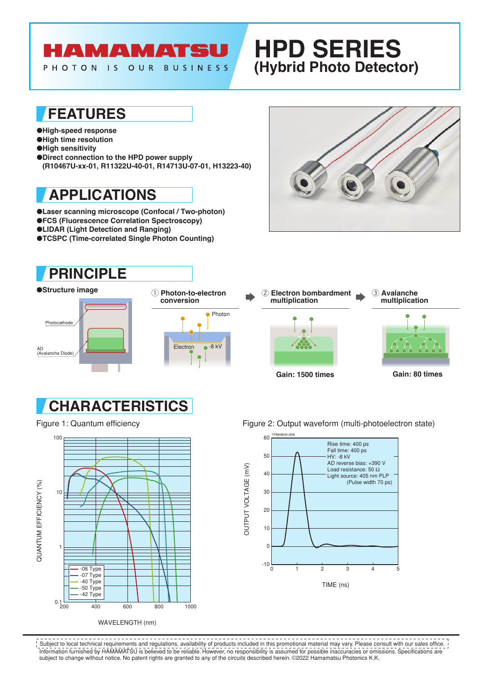# **AMAMATSU**

PHOTON IS OUR BUSINESS

# **HPD SERIES (Hybrid Photo Detector)**

### **FEATURES**

●**High-speed response** ●**High time resolution**  ●**High sensitivity** ●**Direct connection to the HPD power supply**

**(R10467U-xx-01, R11322U-40-01, R14713U-07-01, H13223-40)**

## **APPLICATIONS**

●**Laser scanning microscope (Confocal / Two-photon)** ●**FCS (Fluorescence Correlation Spectroscopy)** ●**LIDAR (Light Detection and Ranging)** ●**TCSPC (Time-correlated Single Photon Counting)**

## **PRINCIPLE**











Figure 1: Quantum efficiency example and the Figure 2: Output waveform (multi-photoelectron state)



Information furnished by HAMAMATSU is believed to be reliable. However, no responsibility is assumed for possible inaccuracies or omissions. Specifications are subject to change without notice. No patent rights are granted to any of the circuits described herein. ©2022 Hamamatsu Photonics K.K.  $\frac{1}{1}$  Subject to local technical requirements and regulations, availability of products included in this promotional material may vary. Please consult with our sales office.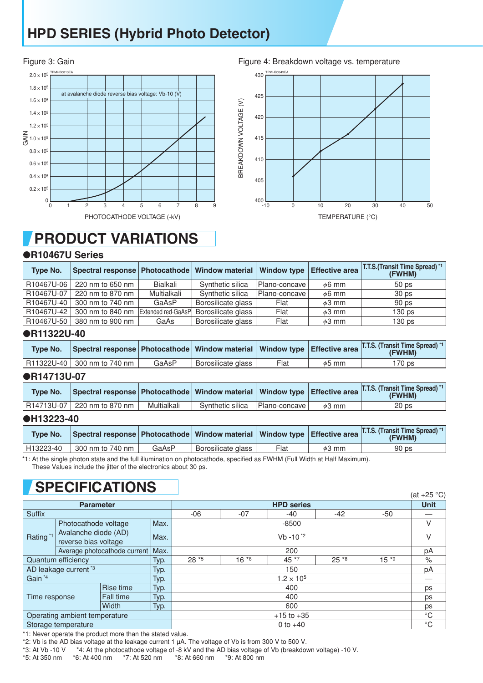## **HPD SERIES (Hybrid Photo Detector)**





## **PRODUCT VARIATIONS**

#### ●**R10467U Series**

| Type No.   | Spectral response   Photocathode   Window material   Window type |                    |                    |               | <b>Effective area</b> | <b>T.T.S.</b> (Transit Time Spread) *1<br>(FWHM) |
|------------|------------------------------------------------------------------|--------------------|--------------------|---------------|-----------------------|--------------------------------------------------|
| R10467U-06 | 220 nm to 650 nm                                                 | Bialkali           | Synthetic silica   | Plano-concave | $\phi$ 6 mm           | 50 <sub>ps</sub>                                 |
| R10467U-07 | 220 nm to 870 nm                                                 | Multialkali        | Synthetic silica   | Plano-concave | $\phi$ 6 mm           | 30 <sub>ps</sub>                                 |
| R10467U-40 | 300 nm to 740 nm                                                 | GaAsP              | Borosilicate glass | Flat          | $\phi$ 3 mm           | 90 ps                                            |
| R10467U-42 | 300 nm to 840 nm                                                 | Extended red-GaAsP | Borosilicate glass | Flat          | $\phi$ 3 mm           | 130 <sub>ps</sub>                                |
| R10467U-50 | 380 nm to 900 nm                                                 | GaAs               | Borosilicate glass | Flat          | $\phi$ 3 mm           | 130 <sub>ps</sub>                                |

### ●**R11322U-40**

| <b>Type No.</b> | Spectral response   Photocathode   Window material   Window type   Effective area |       |                    |      |             | T.T.S. (Transit Time Spread) **  <br>(FWHM) |
|-----------------|-----------------------------------------------------------------------------------|-------|--------------------|------|-------------|---------------------------------------------|
|                 | R11322U-40   300 nm to 740 nm                                                     | GaAsP | Borosilicate glass | Flat | $\phi$ 5 mm | '70 ps                                      |

#### ●**R14713U-07**

| <b>Type No.</b> |                             |             |                  |               |             | Spectral response Photocathode   Window material   Window type   Effective area   T.T.S. (Transit Time Spread) *1 |
|-----------------|-----------------------------|-------------|------------------|---------------|-------------|-------------------------------------------------------------------------------------------------------------------|
|                 | R14713U-07 220 nm to 870 nm | Multialkali | Synthetic silica | Plano-concave | $\phi$ 3 mm | 20 ps                                                                                                             |

#### ●**H13223-40**

| <b>Type No.</b> | Spectral response   Photocathode   Window material   Window type   Effective area |       |                    |      |             | <b>T.T.S. (Transit Time Spread)</b> *1<br><b>(FWHM)</b> |
|-----------------|-----------------------------------------------------------------------------------|-------|--------------------|------|-------------|---------------------------------------------------------|
| H13223-40       | 300 nm to 740 nm                                                                  | GaAsP | Borosilicate glass | Flat | $\phi$ 3 mm | 90 <sub>ps</sub>                                        |

\*1: At the single photon state and the full illumination on photocathode, specified as FWHM (Full Width at Half Maximum).

These Values include the jitter of the electronics about 30 ps.

## **SPECIFICATIONS**

| ___ .__                       |                                              |           |                   |                     |         |       |             | (at +25 °C) |      |
|-------------------------------|----------------------------------------------|-----------|-------------------|---------------------|---------|-------|-------------|-------------|------|
| <b>Parameter</b>              |                                              |           | <b>HPD series</b> |                     |         |       |             | <b>Unit</b> |      |
| Suffix                        |                                              |           |                   | $-06$               | $-07$   | -40   | $-42$       | $-50$       |      |
| Rating <sup>*1</sup>          | Photocathode voltage                         |           | Max.              |                     | $-8500$ |       |             |             |      |
|                               | Avalanche diode (AD)<br>reverse bias voltage |           | Max.              | $Vb - 10^{2}$       |         |       |             |             | ٧    |
|                               | Average photocathode current                 |           | Max.              | 200                 |         |       |             |             | pA   |
| Quantum efficiency            |                                              |           | Typ.              | $28*5$              | $16*6$  | 45 *7 | $25*8$      | $15*9$      | $\%$ |
|                               | AD leakage current <sup>*3</sup>             |           | Typ.              | 150                 |         |       |             |             | pA   |
| Gain <sup>*4</sup>            |                                              |           | Typ.              | $1.2 \times 10^{5}$ |         |       |             |             |      |
|                               |                                              | Rise time | Typ.              | 400                 |         |       |             |             | ps   |
| Time response                 |                                              | Fall time | Typ.              | 400                 |         |       |             |             | ps   |
|                               |                                              | Width     | Typ.              | 600                 |         |       |             |             | ps   |
| Operating ambient temperature |                                              |           | $+15$ to $+35$    |                     |         |       | $^{\circ}C$ |             |      |
| Storage temperature           |                                              |           | 0 to $+40$        |                     |         |       | $^{\circ}C$ |             |      |

\*1: Never operate the product more than the stated value.

\*2: Vb is the AD bias voltage at the leakage current 1  $\mu$ A. The voltage of Vb is from 300 V to 500 V.<br>\*3: At Vb -10 V \*4: At the photocathode voltage of -8 kV and the AD bias voltage of Vb (breakdow

\*4: At the photocathode voltage of -8 kV and the AD bias voltage of Vb (breakdown voltage) -10 V.

\*5: At 350 nm \*6: At 400 nm \*7: At 520 nm \*8: At 660 nm \*9: At 800 nm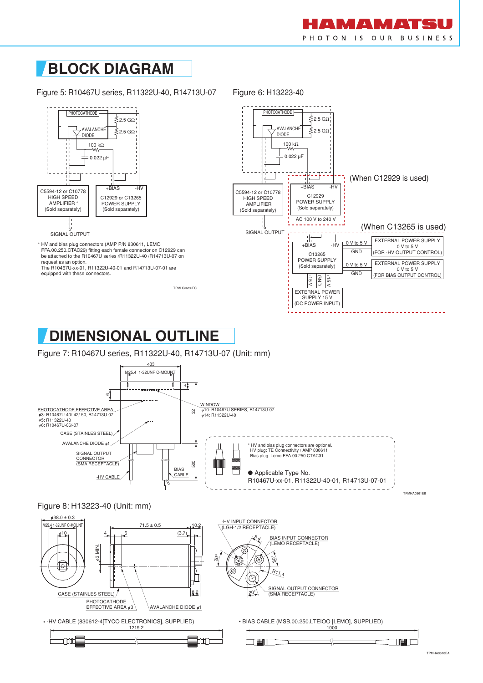

## **BLOCK DIAGRAM**

Figure 5: R10467U series, R11322U-40, R14713U-07



\* HV and bias plug connectors (AMP P/N 830611, LEMO FFA.00.250.CTAC29) fitting each female connector on C12929 can be attached to the R10467U series /R11322U-40 /R14713U-07 on request as an option.

The R10467U-xx-01, R11322U-40-01 and R14713U-07-01 are equipped with these connectors.

TPMHC0236EC



## **DIMENSIONAL OUTLINE**

Figure 7: R10467U series, R11322U-40, R14713U-07 (Unit: mm)



#### Figure 8: H13223-40 (Unit: mm)